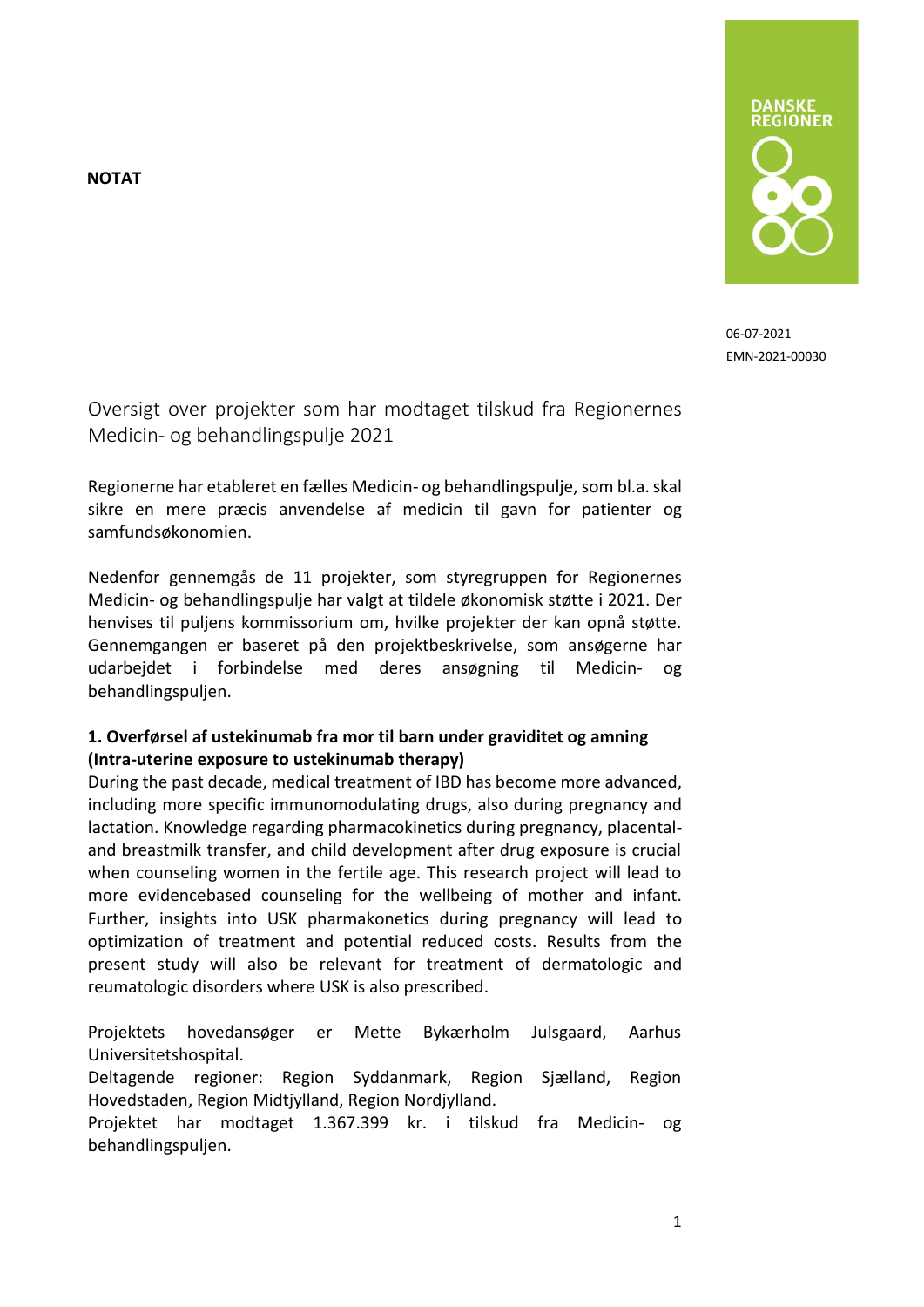**NOTAT**



06-07-2021 EMN-2021-00030

Oversigt over projekter som har modtaget tilskud fra Regionernes Medicin- og behandlingspulje 2021

Regionerne har etableret en fælles Medicin- og behandlingspulje, som bl.a.skal sikre en mere præcis anvendelse af medicin til gavn for patienter og samfundsøkonomien.

Nedenfor gennemgås de 11 projekter, som styregruppen for Regionernes Medicin- og behandlingspulje har valgt at tildele økonomisk støtte i 2021. Der henvises til puljens kommissorium om, hvilke projekter der kan opnå støtte. Gennemgangen er baseret på den projektbeskrivelse, som ansøgerne har udarbejdet i forbindelse med deres ansøgning til Medicin- og behandlingspuljen.

### **1. Overførsel af ustekinumab fra mor til barn under graviditet og amning (Intra-uterine exposure to ustekinumab therapy)**

During the past decade, medical treatment of IBD has become more advanced, including more specific immunomodulating drugs, also during pregnancy and lactation. Knowledge regarding pharmacokinetics during pregnancy, placentaland breastmilk transfer, and child development after drug exposure is crucial when counseling women in the fertile age. This research project will lead to more evidencebased counseling for the wellbeing of mother and infant. Further, insights into USK pharmakonetics during pregnancy will lead to optimization of treatment and potential reduced costs. Results from the present study will also be relevant for treatment of dermatologic and reumatologic disorders where USK is also prescribed.

Projektets hovedansøger er Mette Bykærholm Julsgaard, Aarhus Universitetshospital.

Deltagende regioner: Region Syddanmark, Region Sjælland, Region Hovedstaden, Region Midtjylland, Region Nordjylland.

Projektet har modtaget 1.367.399 kr. i tilskud fra Medicin- og behandlingspuljen.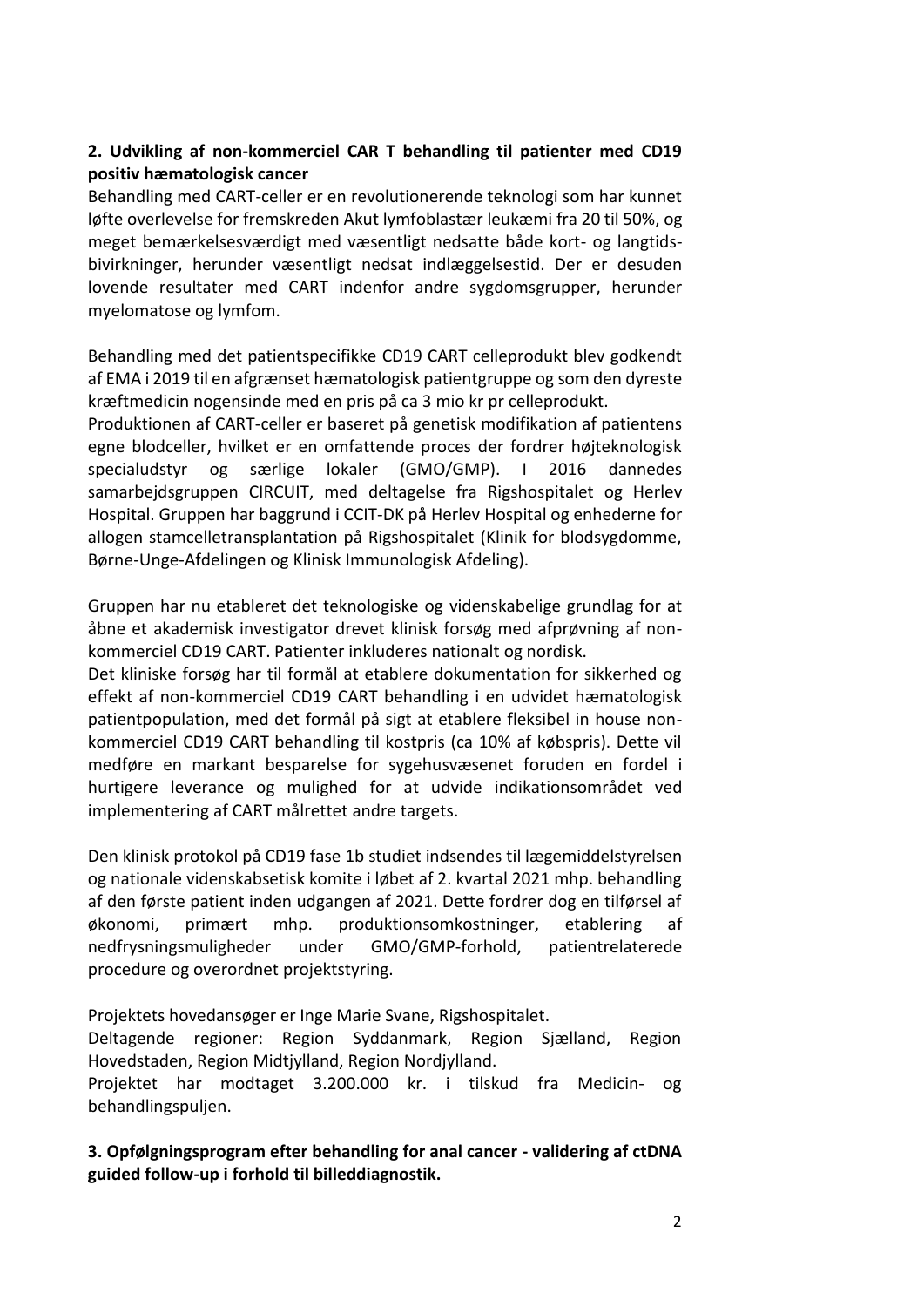# **2. Udvikling af non-kommerciel CAR T behandling til patienter med CD19 positiv hæmatologisk cancer**

Behandling med CART-celler er en revolutionerende teknologi som har kunnet løfte overlevelse for fremskreden Akut lymfoblastær leukæmi fra 20 til 50%, og meget bemærkelsesværdigt med væsentligt nedsatte både kort- og langtidsbivirkninger, herunder væsentligt nedsat indlæggelsestid. Der er desuden lovende resultater med CART indenfor andre sygdomsgrupper, herunder myelomatose og lymfom.

Behandling med det patientspecifikke CD19 CART celleprodukt blev godkendt af EMA i 2019 til en afgrænset hæmatologisk patientgruppe og som den dyreste kræftmedicin nogensinde med en pris på ca 3 mio kr pr celleprodukt.

Produktionen af CART-celler er baseret på genetisk modifikation af patientens egne blodceller, hvilket er en omfattende proces der fordrer højteknologisk specialudstyr og særlige lokaler (GMO/GMP). I 2016 dannedes samarbejdsgruppen CIRCUIT, med deltagelse fra Rigshospitalet og Herlev Hospital. Gruppen har baggrund i CCIT-DK på Herlev Hospital og enhederne for allogen stamcelletransplantation på Rigshospitalet (Klinik for blodsygdomme, Børne-Unge-Afdelingen og Klinisk Immunologisk Afdeling).

Gruppen har nu etableret det teknologiske og videnskabelige grundlag for at åbne et akademisk investigator drevet klinisk forsøg med afprøvning af nonkommerciel CD19 CART. Patienter inkluderes nationalt og nordisk.

Det kliniske forsøg har til formål at etablere dokumentation for sikkerhed og effekt af non-kommerciel CD19 CART behandling i en udvidet hæmatologisk patientpopulation, med det formål på sigt at etablere fleksibel in house nonkommerciel CD19 CART behandling til kostpris (ca 10% af købspris). Dette vil medføre en markant besparelse for sygehusvæsenet foruden en fordel i hurtigere leverance og mulighed for at udvide indikationsområdet ved implementering af CART målrettet andre targets.

Den klinisk protokol på CD19 fase 1b studiet indsendes til lægemiddelstyrelsen og nationale videnskabsetisk komite i løbet af 2. kvartal 2021 mhp. behandling af den første patient inden udgangen af 2021. Dette fordrer dog en tilførsel af økonomi, primært mhp. produktionsomkostninger, etablering af nedfrysningsmuligheder under GMO/GMP-forhold, patientrelaterede procedure og overordnet projektstyring.

Projektets hovedansøger er Inge Marie Svane, Rigshospitalet.

Deltagende regioner: Region Syddanmark, Region Sjælland, Region Hovedstaden, Region Midtjylland, Region Nordjylland.

Projektet har modtaget 3.200.000 kr. i tilskud fra Medicin- og behandlingspuljen.

**3. Opfølgningsprogram efter behandling for anal cancer - validering af ctDNA guided follow-up i forhold til billeddiagnostik.**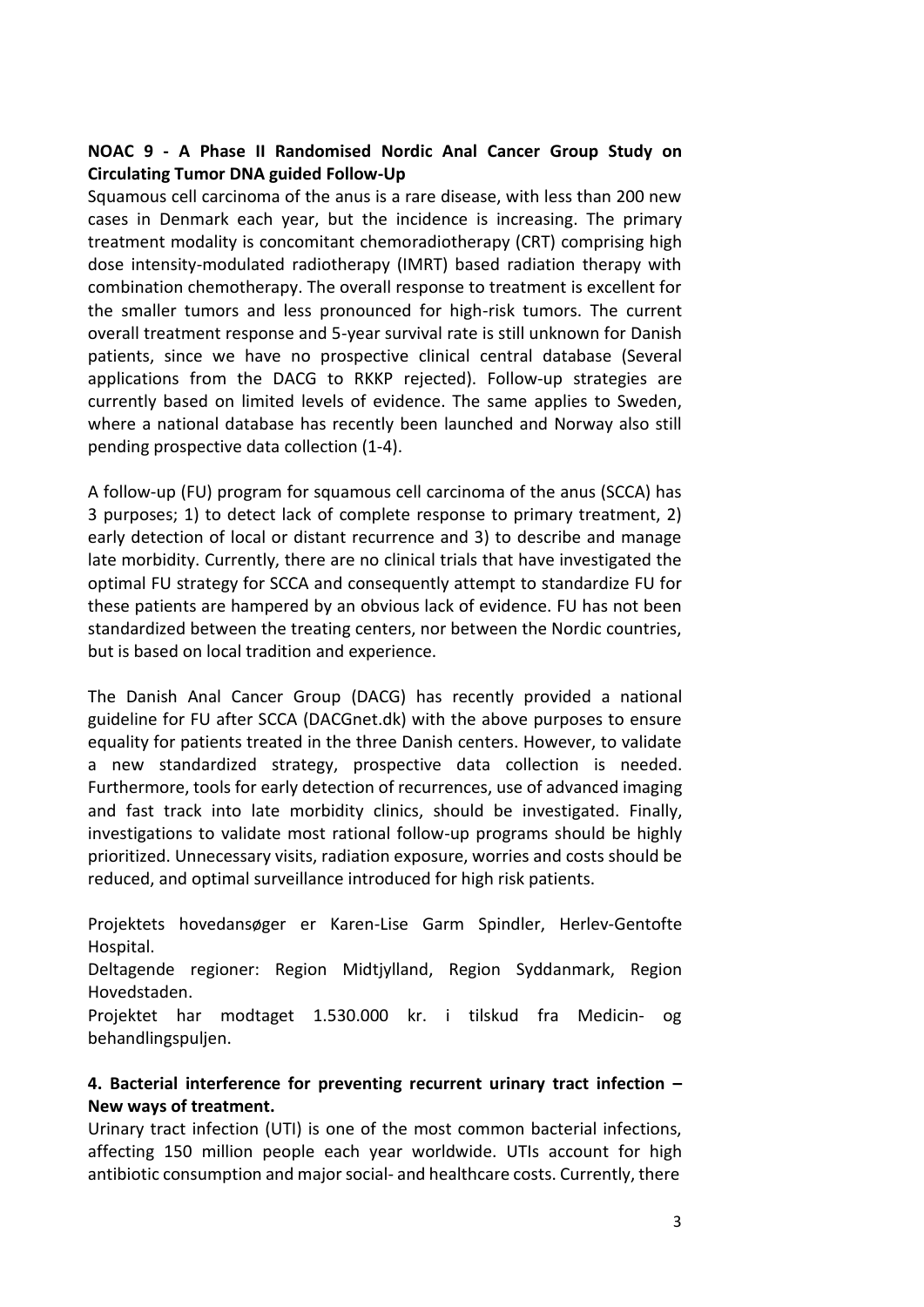### **NOAC 9 - A Phase II Randomised Nordic Anal Cancer Group Study on Circulating Tumor DNA guided Follow-Up**

Squamous cell carcinoma of the anus is a rare disease, with less than 200 new cases in Denmark each year, but the incidence is increasing. The primary treatment modality is concomitant chemoradiotherapy (CRT) comprising high dose intensity-modulated radiotherapy (IMRT) based radiation therapy with combination chemotherapy. The overall response to treatment is excellent for the smaller tumors and less pronounced for high-risk tumors. The current overall treatment response and 5-year survival rate is still unknown for Danish patients, since we have no prospective clinical central database (Several applications from the DACG to RKKP rejected). Follow-up strategies are currently based on limited levels of evidence. The same applies to Sweden, where a national database has recently been launched and Norway also still pending prospective data collection (1-4).

A follow-up (FU) program for squamous cell carcinoma of the anus (SCCA) has 3 purposes; 1) to detect lack of complete response to primary treatment, 2) early detection of local or distant recurrence and 3) to describe and manage late morbidity. Currently, there are no clinical trials that have investigated the optimal FU strategy for SCCA and consequently attempt to standardize FU for these patients are hampered by an obvious lack of evidence. FU has not been standardized between the treating centers, nor between the Nordic countries, but is based on local tradition and experience.

The Danish Anal Cancer Group (DACG) has recently provided a national guideline for FU after SCCA (DACGnet.dk) with the above purposes to ensure equality for patients treated in the three Danish centers. However, to validate a new standardized strategy, prospective data collection is needed. Furthermore, tools for early detection of recurrences, use of advanced imaging and fast track into late morbidity clinics, should be investigated. Finally, investigations to validate most rational follow-up programs should be highly prioritized. Unnecessary visits, radiation exposure, worries and costs should be reduced, and optimal surveillance introduced for high risk patients.

Projektets hovedansøger er Karen-Lise Garm Spindler, Herlev-Gentofte Hospital.

Deltagende regioner: Region Midtjylland, Region Syddanmark, Region Hovedstaden.

Projektet har modtaget 1.530.000 kr. i tilskud fra Medicin- og behandlingspuljen.

### **4. Bacterial interference for preventing recurrent urinary tract infection – New ways of treatment.**

Urinary tract infection (UTI) is one of the most common bacterial infections, affecting 150 million people each year worldwide. UTIs account for high antibiotic consumption and majorsocial- and healthcare costs. Currently, there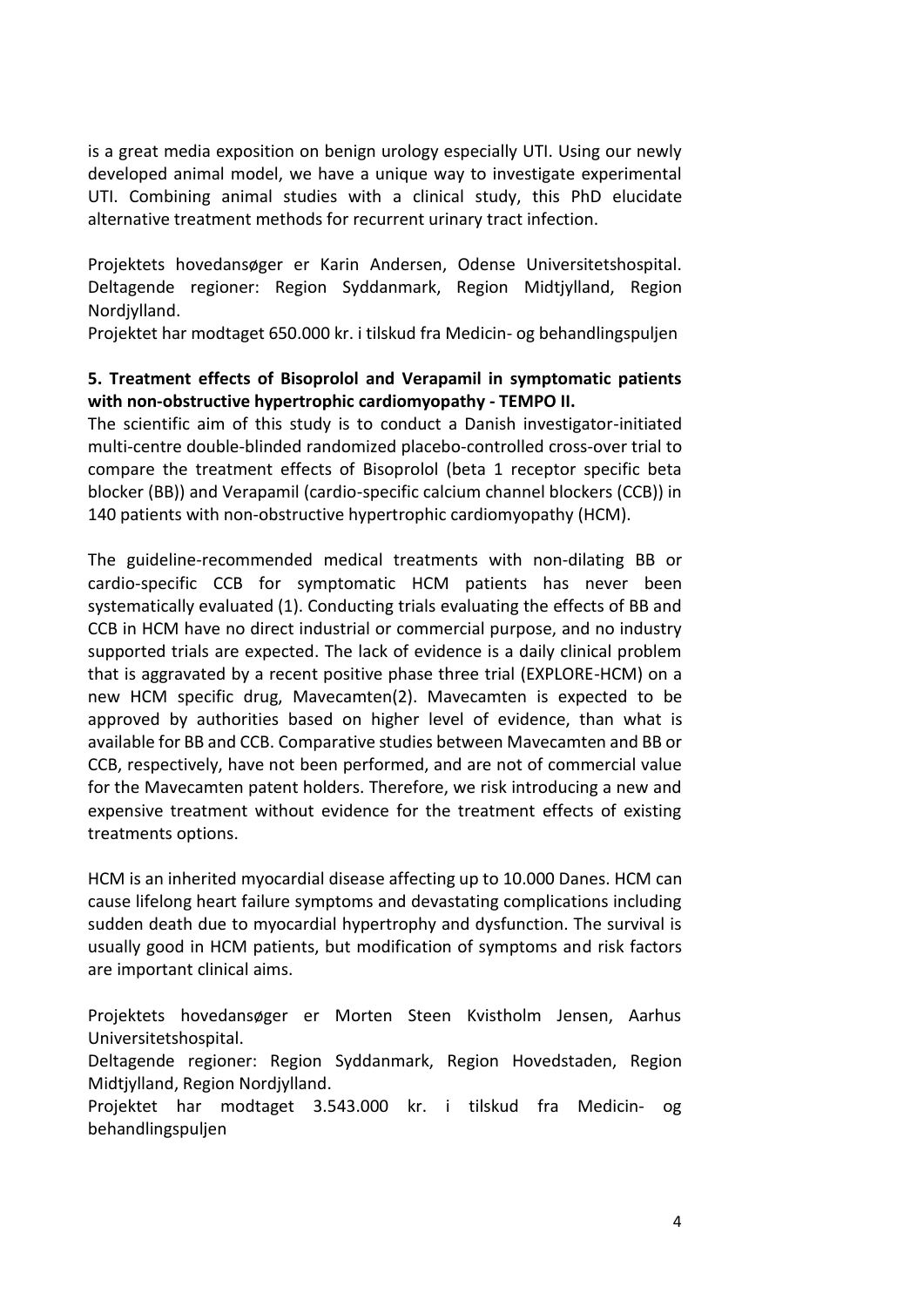is a great media exposition on benign urology especially UTI. Using our newly developed animal model, we have a unique way to investigate experimental UTI. Combining animal studies with a clinical study, this PhD elucidate alternative treatment methods for recurrent urinary tract infection.

Projektets hovedansøger er Karin Andersen, Odense Universitetshospital. Deltagende regioner: Region Syddanmark, Region Midtjylland, Region Nordjylland.

Projektet har modtaget 650.000 kr. i tilskud fra Medicin- og behandlingspuljen

#### **5. Treatment effects of Bisoprolol and Verapamil in symptomatic patients with non-obstructive hypertrophic cardiomyopathy - TEMPO II.**

The scientific aim of this study is to conduct a Danish investigator-initiated multi-centre double-blinded randomized placebo-controlled cross-over trial to compare the treatment effects of Bisoprolol (beta 1 receptor specific beta blocker (BB)) and Verapamil (cardio-specific calcium channel blockers (CCB)) in 140 patients with non-obstructive hypertrophic cardiomyopathy (HCM).

The guideline-recommended medical treatments with non-dilating BB or cardio-specific CCB for symptomatic HCM patients has never been systematically evaluated (1). Conducting trials evaluating the effects of BB and CCB in HCM have no direct industrial or commercial purpose, and no industry supported trials are expected. The lack of evidence is a daily clinical problem that is aggravated by a recent positive phase three trial (EXPLORE-HCM) on a new HCM specific drug, Mavecamten(2). Mavecamten is expected to be approved by authorities based on higher level of evidence, than what is available for BB and CCB. Comparative studies between Mavecamten and BB or CCB, respectively, have not been performed, and are not of commercial value for the Mavecamten patent holders. Therefore, we risk introducing a new and expensive treatment without evidence for the treatment effects of existing treatments options.

HCM is an inherited myocardial disease affecting up to 10.000 Danes. HCM can cause lifelong heart failure symptoms and devastating complications including sudden death due to myocardial hypertrophy and dysfunction. The survival is usually good in HCM patients, but modification of symptoms and risk factors are important clinical aims.

Projektets hovedansøger er Morten Steen Kvistholm Jensen, Aarhus Universitetshospital.

Deltagende regioner: Region Syddanmark, Region Hovedstaden, Region Midtjylland, Region Nordjylland.

Projektet har modtaget 3.543.000 kr. i tilskud fra Medicin- og behandlingspuljen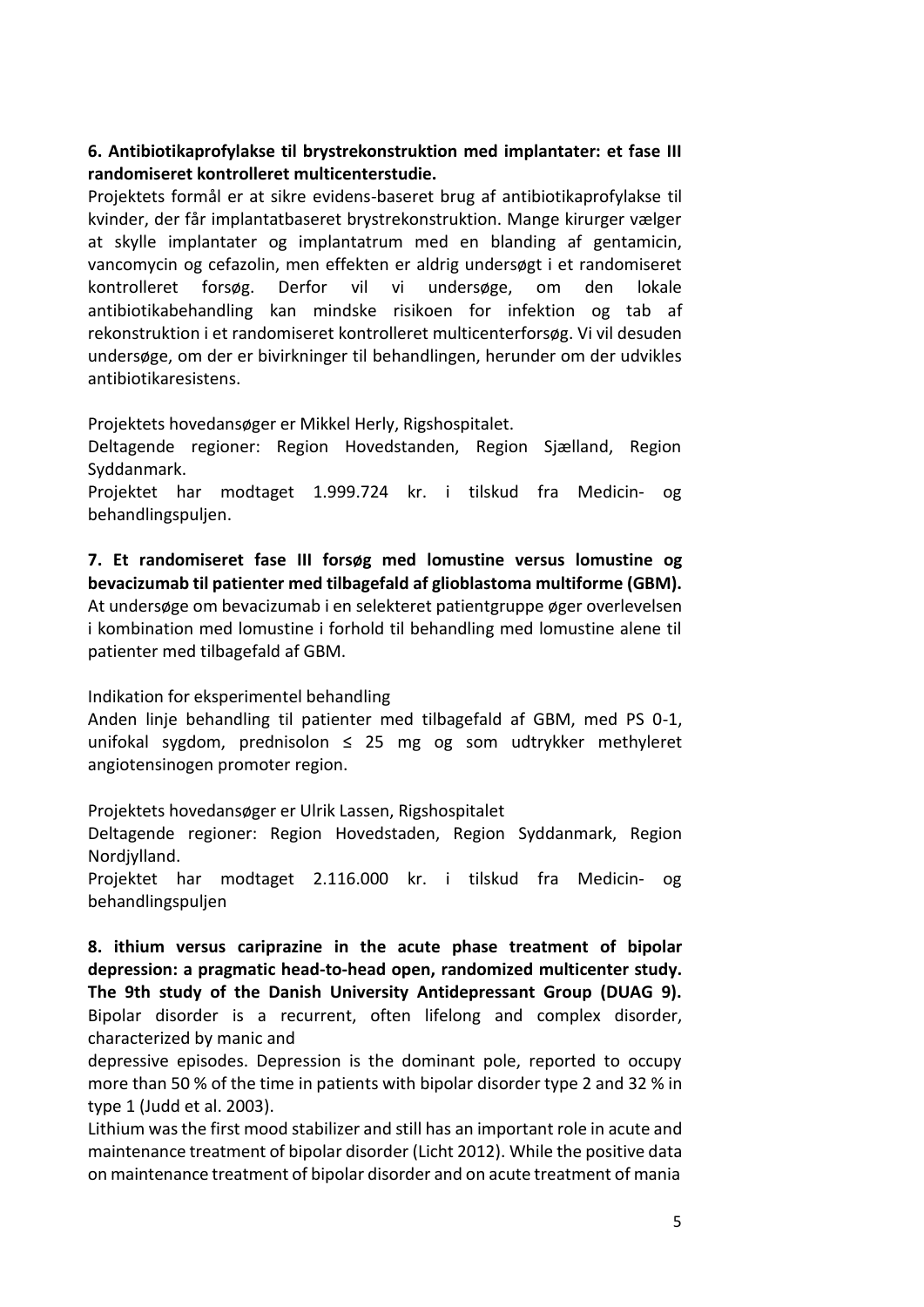### **6. Antibiotikaprofylakse til brystrekonstruktion med implantater: et fase III randomiseret kontrolleret multicenterstudie.**

Projektets formål er at sikre evidens-baseret brug af antibiotikaprofylakse til kvinder, der får implantatbaseret brystrekonstruktion. Mange kirurger vælger at skylle implantater og implantatrum med en blanding af gentamicin, vancomycin og cefazolin, men effekten er aldrig undersøgt i et randomiseret kontrolleret forsøg. Derfor vil vi undersøge, om den lokale antibiotikabehandling kan mindske risikoen for infektion og tab af rekonstruktion i et randomiseret kontrolleret multicenterforsøg. Vi vil desuden undersøge, om der er bivirkninger til behandlingen, herunder om der udvikles antibiotikaresistens.

Projektets hovedansøger er Mikkel Herly, Rigshospitalet.

Deltagende regioner: Region Hovedstanden, Region Sjælland, Region Syddanmark.

Projektet har modtaget 1.999.724 kr. i tilskud fra Medicin- og behandlingspuljen.

**7. Et randomiseret fase III forsøg med lomustine versus lomustine og bevacizumab til patienter med tilbagefald af glioblastoma multiforme (GBM).** At undersøge om bevacizumab i en selekteret patientgruppe øger overlevelsen i kombination med lomustine i forhold til behandling med lomustine alene til patienter med tilbagefald af GBM.

Indikation for eksperimentel behandling

Anden linje behandling til patienter med tilbagefald af GBM, med PS 0-1, unifokal sygdom, prednisolon  $\leq$  25 mg og som udtrykker methyleret angiotensinogen promoter region.

Projektets hovedansøger er Ulrik Lassen, Rigshospitalet

Deltagende regioner: Region Hovedstaden, Region Syddanmark, Region Nordjylland.

Projektet har modtaget 2.116.000 kr. i tilskud fra Medicin- og behandlingspuljen

**8. ithium versus cariprazine in the acute phase treatment of bipolar depression: a pragmatic head-to-head open, randomized multicenter study. The 9th study of the Danish University Antidepressant Group (DUAG 9).** Bipolar disorder is a recurrent, often lifelong and complex disorder, characterized by manic and

depressive episodes. Depression is the dominant pole, reported to occupy more than 50 % of the time in patients with bipolar disorder type 2 and 32 % in type 1 (Judd et al. 2003).

Lithium wasthe first mood stabilizer and still has an important role in acute and maintenance treatment of bipolar disorder (Licht 2012). While the positive data on maintenance treatment of bipolar disorder and on acute treatment of mania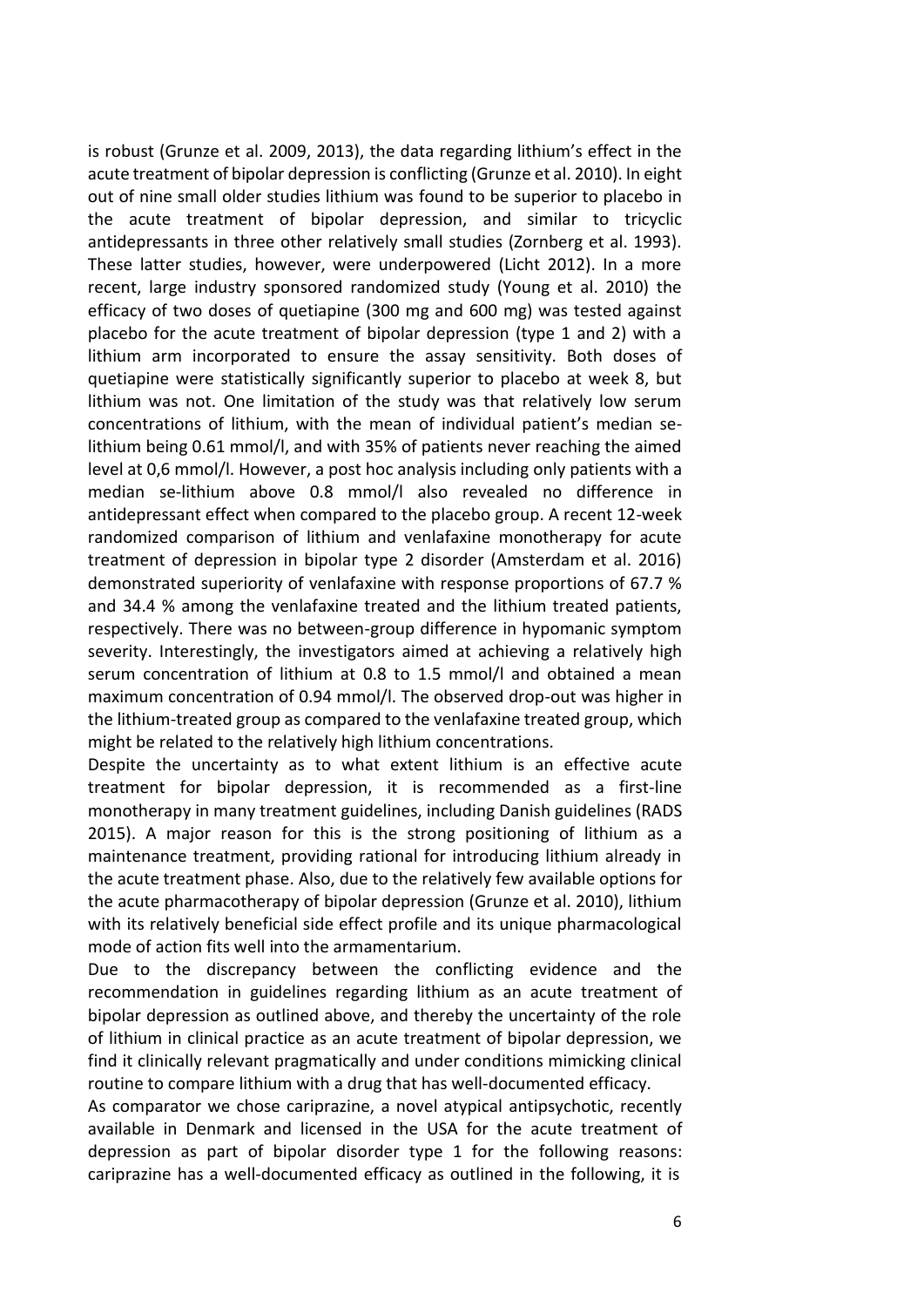is robust (Grunze et al. 2009, 2013), the data regarding lithium's effect in the acute treatment of bipolar depression is conflicting (Grunze et al. 2010). In eight out of nine small older studies lithium was found to be superior to placebo in the acute treatment of bipolar depression, and similar to tricyclic antidepressants in three other relatively small studies (Zornberg et al. 1993). These latter studies, however, were underpowered (Licht 2012). In a more recent, large industry sponsored randomized study (Young et al. 2010) the efficacy of two doses of quetiapine (300 mg and 600 mg) was tested against placebo for the acute treatment of bipolar depression (type 1 and 2) with a lithium arm incorporated to ensure the assay sensitivity. Both doses of quetiapine were statistically significantly superior to placebo at week 8, but lithium was not. One limitation of the study was that relatively low serum concentrations of lithium, with the mean of individual patient's median selithium being 0.61 mmol/l, and with 35% of patients never reaching the aimed level at 0,6 mmol/l. However, a post hoc analysis including only patients with a median se-lithium above 0.8 mmol/l also revealed no difference in antidepressant effect when compared to the placebo group. A recent 12-week randomized comparison of lithium and venlafaxine monotherapy for acute treatment of depression in bipolar type 2 disorder (Amsterdam et al. 2016) demonstrated superiority of venlafaxine with response proportions of 67.7 % and 34.4 % among the venlafaxine treated and the lithium treated patients, respectively. There was no between-group difference in hypomanic symptom severity. Interestingly, the investigators aimed at achieving a relatively high serum concentration of lithium at 0.8 to 1.5 mmol/l and obtained a mean maximum concentration of 0.94 mmol/l. The observed drop-out was higher in the lithium-treated group as compared to the venlafaxine treated group, which might be related to the relatively high lithium concentrations.

Despite the uncertainty as to what extent lithium is an effective acute treatment for bipolar depression, it is recommended as a first-line monotherapy in many treatment guidelines, including Danish guidelines (RADS 2015). A major reason for this is the strong positioning of lithium as a maintenance treatment, providing rational for introducing lithium already in the acute treatment phase. Also, due to the relatively few available options for the acute pharmacotherapy of bipolar depression (Grunze et al. 2010), lithium with its relatively beneficial side effect profile and its unique pharmacological mode of action fits well into the armamentarium.

Due to the discrepancy between the conflicting evidence and the recommendation in guidelines regarding lithium as an acute treatment of bipolar depression as outlined above, and thereby the uncertainty of the role of lithium in clinical practice as an acute treatment of bipolar depression, we find it clinically relevant pragmatically and under conditions mimicking clinical routine to compare lithium with a drug that has well-documented efficacy.

As comparator we chose cariprazine, a novel atypical antipsychotic, recently available in Denmark and licensed in the USA for the acute treatment of depression as part of bipolar disorder type 1 for the following reasons: cariprazine has a well-documented efficacy as outlined in the following, it is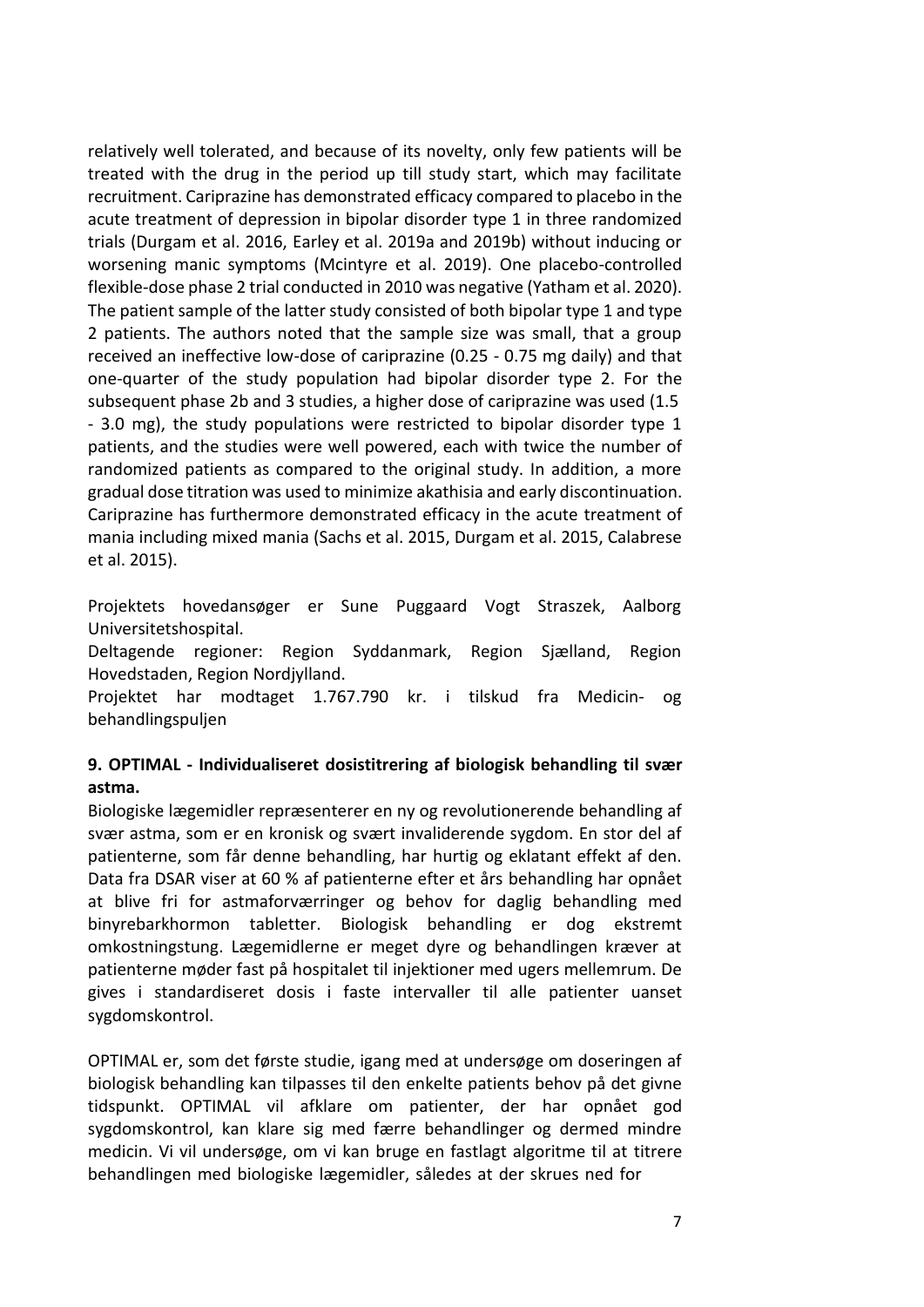relatively well tolerated, and because of its novelty, only few patients will be treated with the drug in the period up till study start, which may facilitate recruitment. Cariprazine has demonstrated efficacy compared to placebo in the acute treatment of depression in bipolar disorder type 1 in three randomized trials (Durgam et al. 2016, Earley et al. 2019a and 2019b) without inducing or worsening manic symptoms (Mcintyre et al. 2019). One placebo-controlled flexible-dose phase 2 trial conducted in 2010 was negative (Yatham et al. 2020). The patient sample of the latter study consisted of both bipolar type 1 and type 2 patients. The authors noted that the sample size was small, that a group received an ineffective low-dose of cariprazine (0.25 - 0.75 mg daily) and that one-quarter of the study population had bipolar disorder type 2. For the subsequent phase 2b and 3 studies, a higher dose of cariprazine was used (1.5 - 3.0 mg), the study populations were restricted to bipolar disorder type 1 patients, and the studies were well powered, each with twice the number of randomized patients as compared to the original study. In addition, a more gradual dose titration was used to minimize akathisia and early discontinuation. Cariprazine has furthermore demonstrated efficacy in the acute treatment of mania including mixed mania (Sachs et al. 2015, Durgam et al. 2015, Calabrese et al. 2015).

Projektets hovedansøger er Sune Puggaard Vogt Straszek, Aalborg Universitetshospital.

Deltagende regioner: Region Syddanmark, Region Sjælland, Region Hovedstaden, Region Nordjylland.

Projektet har modtaget 1.767.790 kr. i tilskud fra Medicin- og behandlingspuljen

# **9. OPTIMAL - Individualiseret dosistitrering af biologisk behandling til svær astma.**

Biologiske lægemidler repræsenterer en ny og revolutionerende behandling af svær astma, som er en kronisk og svært invaliderende sygdom. En stor del af patienterne, som får denne behandling, har hurtig og eklatant effekt af den. Data fra DSAR viser at 60 % af patienterne efter et års behandling har opnået at blive fri for astmaforværringer og behov for daglig behandling med binyrebarkhormon tabletter. Biologisk behandling er dog ekstremt omkostningstung. Lægemidlerne er meget dyre og behandlingen kræver at patienterne møder fast på hospitalet til injektioner med ugers mellemrum. De gives i standardiseret dosis i faste intervaller til alle patienter uanset sygdomskontrol.

OPTIMAL er, som det første studie, igang med at undersøge om doseringen af biologisk behandling kan tilpasses til den enkelte patients behov på det givne tidspunkt. OPTIMAL vil afklare om patienter, der har opnået god sygdomskontrol, kan klare sig med færre behandlinger og dermed mindre medicin. Vi vil undersøge, om vi kan bruge en fastlagt algoritme til at titrere behandlingen med biologiske lægemidler, således at der skrues ned for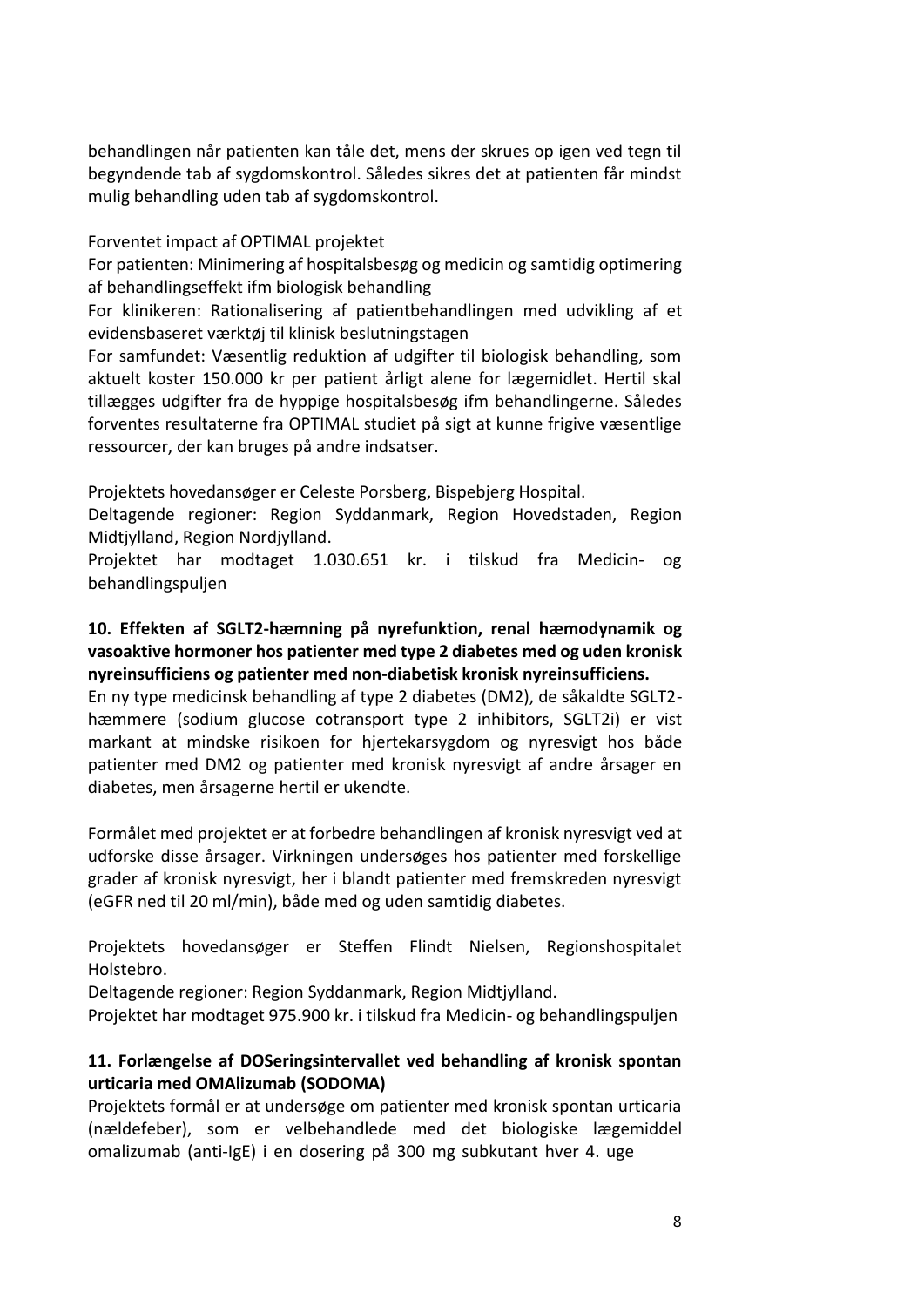behandlingen når patienten kan tåle det, mens der skrues op igen ved tegn til begyndende tab af sygdomskontrol. Således sikres det at patienten får mindst mulig behandling uden tab af sygdomskontrol.

#### Forventet impact af OPTIMAL projektet

For patienten: Minimering af hospitalsbesøg og medicin og samtidig optimering af behandlingseffekt ifm biologisk behandling

For klinikeren: Rationalisering af patientbehandlingen med udvikling af et evidensbaseret værktøj til klinisk beslutningstagen

For samfundet: Væsentlig reduktion af udgifter til biologisk behandling, som aktuelt koster 150.000 kr per patient årligt alene for lægemidlet. Hertil skal tillægges udgifter fra de hyppige hospitalsbesøg ifm behandlingerne. Således forventes resultaterne fra OPTIMAL studiet på sigt at kunne frigive væsentlige ressourcer, der kan bruges på andre indsatser.

Projektets hovedansøger er Celeste Porsberg, Bispebjerg Hospital.

Deltagende regioner: Region Syddanmark, Region Hovedstaden, Region Midtjylland, Region Nordjylland.

Projektet har modtaget 1.030.651 kr. i tilskud fra Medicin- og behandlingspuljen

## **10. Effekten af SGLT2-hæmning på nyrefunktion, renal hæmodynamik og vasoaktive hormoner hos patienter med type 2 diabetes med og uden kronisk nyreinsufficiens og patienter med non-diabetisk kronisk nyreinsufficiens.**

En ny type medicinsk behandling af type 2 diabetes (DM2), de såkaldte SGLT2 hæmmere (sodium glucose cotransport type 2 inhibitors, SGLT2i) er vist markant at mindske risikoen for hjertekarsygdom og nyresvigt hos både patienter med DM2 og patienter med kronisk nyresvigt af andre årsager en diabetes, men årsagerne hertil er ukendte.

Formålet med projektet er at forbedre behandlingen af kronisk nyresvigt ved at udforske disse årsager. Virkningen undersøges hos patienter med forskellige grader af kronisk nyresvigt, her i blandt patienter med fremskreden nyresvigt (eGFR ned til 20 ml/min), både med og uden samtidig diabetes.

Projektets hovedansøger er Steffen Flindt Nielsen, Regionshospitalet Holstebro.

Deltagende regioner: Region Syddanmark, Region Midtjylland.

Projektet har modtaget 975.900 kr. i tilskud fra Medicin- og behandlingspuljen

# **11. Forlængelse af DOSeringsintervallet ved behandling af kronisk spontan urticaria med OMAlizumab (SODOMA)**

Projektets formål er at undersøge om patienter med kronisk spontan urticaria (nældefeber), som er velbehandlede med det biologiske lægemiddel omalizumab (anti-IgE) i en dosering på 300 mg subkutant hver 4. uge